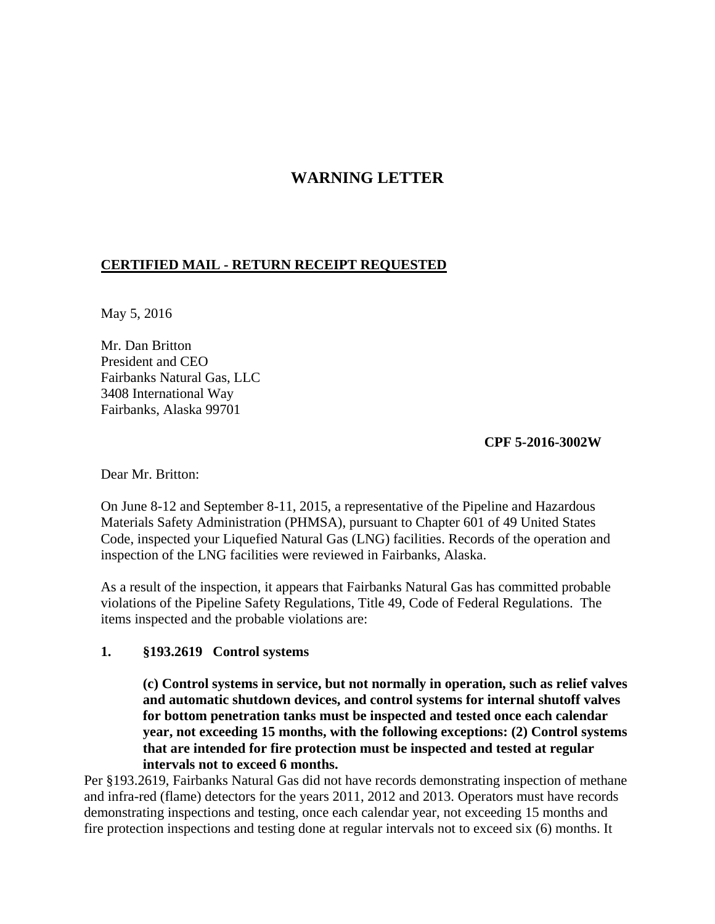# **WARNING LETTER**

#### **CERTIFIED MAIL - RETURN RECEIPT REQUESTED**

May 5, 2016

Mr. Dan Britton President and CEO Fairbanks Natural Gas, LLC 3408 International Way Fairbanks, Alaska 99701

**CPF 5-2016-3002W**

Dear Mr. Britton:

On June 8-12 and September 8-11, 2015, a representative of the Pipeline and Hazardous Materials Safety Administration (PHMSA), pursuant to Chapter 601 of 49 United States Code, inspected your Liquefied Natural Gas (LNG) facilities. Records of the operation and inspection of the LNG facilities were reviewed in Fairbanks, Alaska.

As a result of the inspection, it appears that Fairbanks Natural Gas has committed probable violations of the Pipeline Safety Regulations, Title 49, Code of Federal Regulations. The items inspected and the probable violations are:

#### **1. §193.2619 Control systems**

**(c) Control systems in service, but not normally in operation, such as relief valves and automatic shutdown devices, and control systems for internal shutoff valves for bottom penetration tanks must be inspected and tested once each calendar year, not exceeding 15 months, with the following exceptions: (2) Control systems that are intended for fire protection must be inspected and tested at regular intervals not to exceed 6 months.**

Per §193.2619, Fairbanks Natural Gas did not have records demonstrating inspection of methane and infra-red (flame) detectors for the years 2011, 2012 and 2013. Operators must have records demonstrating inspections and testing, once each calendar year, not exceeding 15 months and fire protection inspections and testing done at regular intervals not to exceed six (6) months. It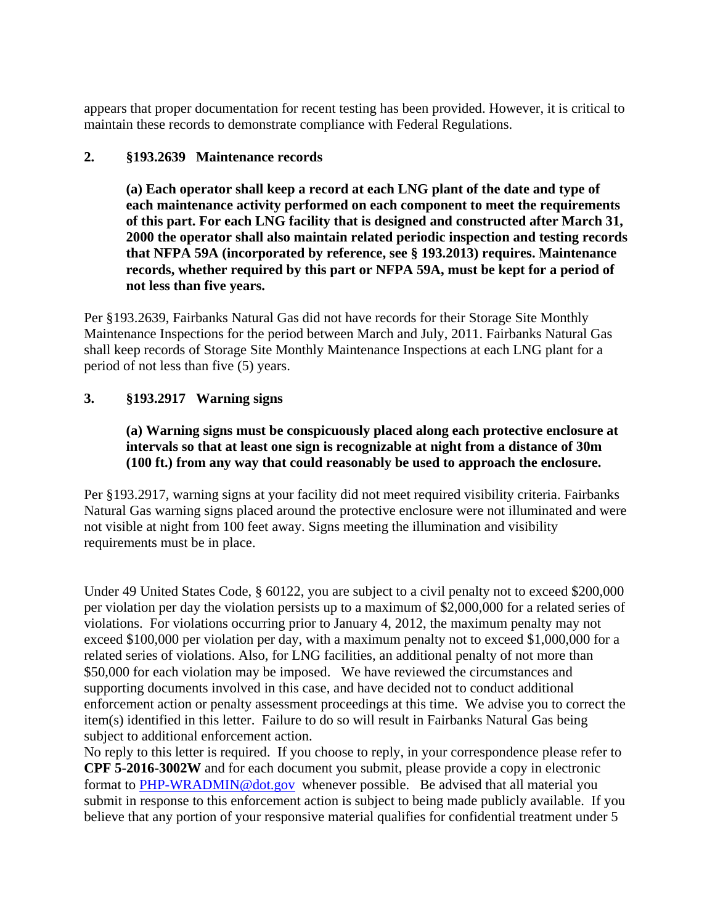appears that proper documentation for recent testing has been provided. However, it is critical to maintain these records to demonstrate compliance with Federal Regulations.

### **2. §193.2639 Maintenance records**

**(a) Each operator shall keep a record at each LNG plant of the date and type of each maintenance activity performed on each component to meet the requirements of this part. For each LNG facility that is designed and constructed after March 31, 2000 the operator shall also maintain related periodic inspection and testing records that NFPA 59A (incorporated by reference, see § 193.2013) requires. Maintenance records, whether required by this part or NFPA 59A, must be kept for a period of not less than five years.**

Per §193.2639, Fairbanks Natural Gas did not have records for their Storage Site Monthly Maintenance Inspections for the period between March and July, 2011. Fairbanks Natural Gas shall keep records of Storage Site Monthly Maintenance Inspections at each LNG plant for a period of not less than five (5) years.

## **3. §193.2917 Warning signs**

## **(a) Warning signs must be conspicuously placed along each protective enclosure at intervals so that at least one sign is recognizable at night from a distance of 30m (100 ft.) from any way that could reasonably be used to approach the enclosure.**

Per §193.2917, warning signs at your facility did not meet required visibility criteria. Fairbanks Natural Gas warning signs placed around the protective enclosure were not illuminated and were not visible at night from 100 feet away. Signs meeting the illumination and visibility requirements must be in place.

Under 49 United States Code, § 60122, you are subject to a civil penalty not to exceed \$200,000 per violation per day the violation persists up to a maximum of \$2,000,000 for a related series of violations. For violations occurring prior to January 4, 2012, the maximum penalty may not exceed \$100,000 per violation per day, with a maximum penalty not to exceed \$1,000,000 for a related series of violations. Also, for LNG facilities, an additional penalty of not more than \$50,000 for each violation may be imposed. We have reviewed the circumstances and supporting documents involved in this case, and have decided not to conduct additional enforcement action or penalty assessment proceedings at this time. We advise you to correct the item(s) identified in this letter. Failure to do so will result in Fairbanks Natural Gas being subject to additional enforcement action.

No reply to this letter is required. If you choose to reply, in your correspondence please refer to **CPF 5-2016-3002W** and for each document you submit, please provide a copy in electronic format to PHP-WRADMIN@dot.gov whenever possible. Be advised that all material you submit in response to this enforcement action is subject to being made publicly available. If you believe that any portion of your responsive material qualifies for confidential treatment under 5